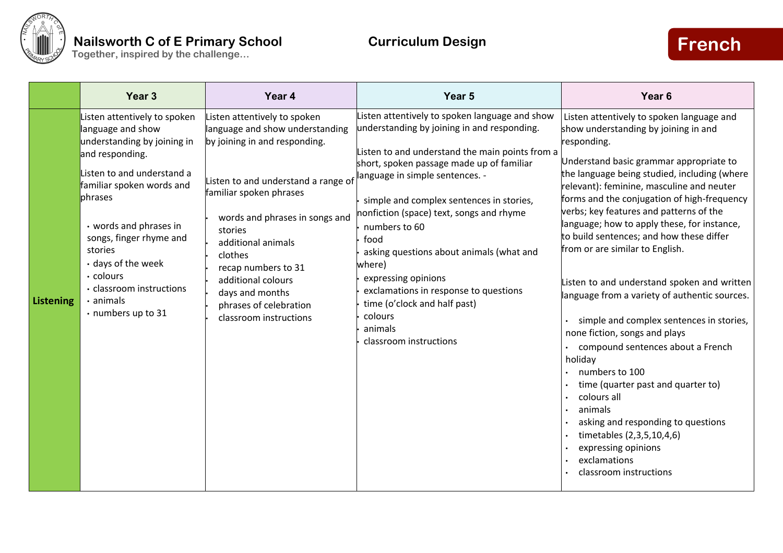

|           | Year 3                                                                                                                                                                                                                                                                                                                                            | Year 4                                                                                                                                                                                                                                                                                                                                                               | Year 5                                                                                                                                                                                                                                                                                                                                                                                                                                                                                                                                                  | Year <sub>6</sub>                                                                                                                                                                                                                                                                                                                                                                                                                                                                                                                                                                                                                                                                                                                                                                                                                                                                                                   |
|-----------|---------------------------------------------------------------------------------------------------------------------------------------------------------------------------------------------------------------------------------------------------------------------------------------------------------------------------------------------------|----------------------------------------------------------------------------------------------------------------------------------------------------------------------------------------------------------------------------------------------------------------------------------------------------------------------------------------------------------------------|---------------------------------------------------------------------------------------------------------------------------------------------------------------------------------------------------------------------------------------------------------------------------------------------------------------------------------------------------------------------------------------------------------------------------------------------------------------------------------------------------------------------------------------------------------|---------------------------------------------------------------------------------------------------------------------------------------------------------------------------------------------------------------------------------------------------------------------------------------------------------------------------------------------------------------------------------------------------------------------------------------------------------------------------------------------------------------------------------------------------------------------------------------------------------------------------------------------------------------------------------------------------------------------------------------------------------------------------------------------------------------------------------------------------------------------------------------------------------------------|
| Listening | Listen attentively to spoken<br>language and show<br>understanding by joining in<br>and responding.<br>Listen to and understand a<br>familiar spoken words and<br>phrases<br>• words and phrases in<br>songs, finger rhyme and<br>stories<br>• days of the week<br>· colours<br>. classroom instructions<br>$\cdot$ animals<br>• numbers up to 31 | Listen attentively to spoken<br>language and show understanding<br>by joining in and responding.<br>Listen to and understand a range of<br>familiar spoken phrases<br>words and phrases in songs and<br>stories<br>additional animals<br>clothes<br>recap numbers to 31<br>additional colours<br>days and months<br>phrases of celebration<br>classroom instructions | Listen attentively to spoken language and show<br>understanding by joining in and responding.<br>Listen to and understand the main points from a<br>short, spoken passage made up of familiar<br>language in simple sentences. -<br>simple and complex sentences in stories,<br>nonfiction (space) text, songs and rhyme<br>numbers to 60<br>food<br>asking questions about animals (what and<br>where)<br>expressing opinions<br>exclamations in response to questions<br>time (o'clock and half past)<br>colours<br>animals<br>classroom instructions | Listen attentively to spoken language and<br>show understanding by joining in and<br>responding.<br>Understand basic grammar appropriate to<br>the language being studied, including (where<br>relevant): feminine, masculine and neuter<br>forms and the conjugation of high-frequency<br>verbs; key features and patterns of the<br>language; how to apply these, for instance,<br>to build sentences; and how these differ<br>from or are similar to English.<br>Listen to and understand spoken and written<br>language from a variety of authentic sources.<br>simple and complex sentences in stories,<br>none fiction, songs and plays<br>compound sentences about a French<br>holiday<br>numbers to 100<br>time (quarter past and quarter to)<br>colours all<br>animals<br>asking and responding to questions<br>timetables (2,3,5,10,4,6)<br>expressing opinions<br>exclamations<br>classroom instructions |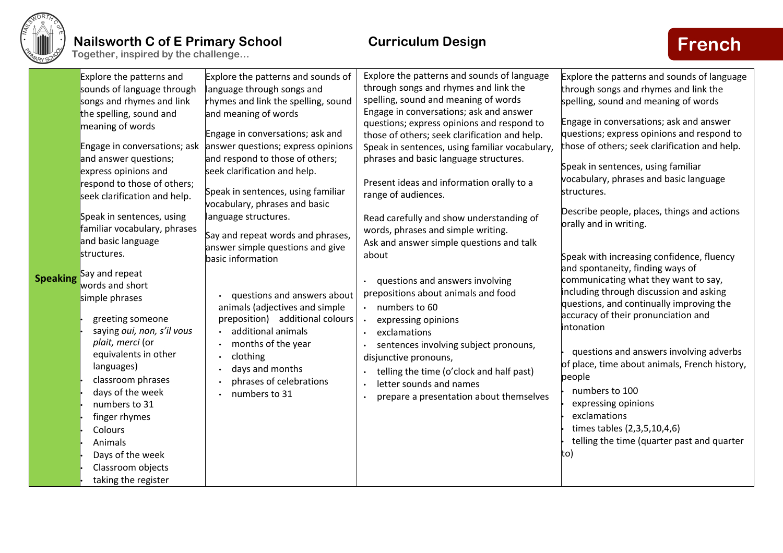

| <b>Speaking</b>                                                                                  | Explore the patterns and sounds of<br>language through songs and<br>rhymes and link the spelling, sound<br>and meaning of words<br>Engage in conversations; ask and<br>answer questions; express opinions<br>and respond to those of others;<br>seek clarification and help.<br>Speak in sentences, using familiar<br>vocabulary, phrases and basic<br>language structures.<br>Say and repeat words and phrases,<br>answer simple questions and give<br>basic information<br>questions and answers about<br>animals (adjectives and simple<br>preposition) additional colours<br>additional animals<br>months of the year<br>clothing<br>days and months<br>phrases of celebrations<br>numbers to 31 | Explore the patterns and sounds of language<br>through songs and rhymes and link the<br>spelling, sound and meaning of words<br>Engage in conversations; ask and answer<br>questions; express opinions and respond to<br>those of others; seek clarification and help.<br>Speak in sentences, using familiar vocabulary,<br>phrases and basic language structures.<br>Present ideas and information orally to a<br>range of audiences.<br>Read carefully and show understanding of<br>words, phrases and simple writing.<br>Ask and answer simple questions and talk<br>about<br>questions and answers involving<br>prepositions about animals and food<br>numbers to 60<br>$\bullet$<br>expressing opinions<br>exclamations<br>$\bullet$<br>sentences involving subject pronouns,<br>disjunctive pronouns,<br>telling the time (o'clock and half past)<br>$\bullet$<br>letter sounds and names<br>$\bullet$<br>prepare a presentation about themselves | Explore the patterns and sounds of language<br>through songs and rhymes and link the<br>spelling, sound and meaning of words<br>Engage in conversations; ask and answer<br>questions; express opinions and respond to<br>those of others; seek clarification and help.<br>Speak in sentences, using familiar<br>vocabulary, phrases and basic language<br>structures.<br>Describe people, places, things and actions<br>orally and in writing.<br>Speak with increasing confidence, fluency<br>and spontaneity, finding ways of<br>communicating what they want to say,<br>including through discussion and asking<br>questions, and continually improving the<br>accuracy of their pronunciation and<br>intonation<br>questions and answers involving adverbs<br>of place, time about animals, French history,<br>people<br>numbers to 100<br>expressing opinions<br>exclamations<br>times tables (2,3,5,10,4,6)<br>telling the time (quarter past and quarter<br>to) |
|--------------------------------------------------------------------------------------------------|------------------------------------------------------------------------------------------------------------------------------------------------------------------------------------------------------------------------------------------------------------------------------------------------------------------------------------------------------------------------------------------------------------------------------------------------------------------------------------------------------------------------------------------------------------------------------------------------------------------------------------------------------------------------------------------------------|---------------------------------------------------------------------------------------------------------------------------------------------------------------------------------------------------------------------------------------------------------------------------------------------------------------------------------------------------------------------------------------------------------------------------------------------------------------------------------------------------------------------------------------------------------------------------------------------------------------------------------------------------------------------------------------------------------------------------------------------------------------------------------------------------------------------------------------------------------------------------------------------------------------------------------------------------------|------------------------------------------------------------------------------------------------------------------------------------------------------------------------------------------------------------------------------------------------------------------------------------------------------------------------------------------------------------------------------------------------------------------------------------------------------------------------------------------------------------------------------------------------------------------------------------------------------------------------------------------------------------------------------------------------------------------------------------------------------------------------------------------------------------------------------------------------------------------------------------------------------------------------------------------------------------------------|
| and answer questions;<br>express opinions and<br>structures.<br>Say and repeat<br>simple phrases |                                                                                                                                                                                                                                                                                                                                                                                                                                                                                                                                                                                                                                                                                                      |                                                                                                                                                                                                                                                                                                                                                                                                                                                                                                                                                                                                                                                                                                                                                                                                                                                                                                                                                         |                                                                                                                                                                                                                                                                                                                                                                                                                                                                                                                                                                                                                                                                                                                                                                                                                                                                                                                                                                        |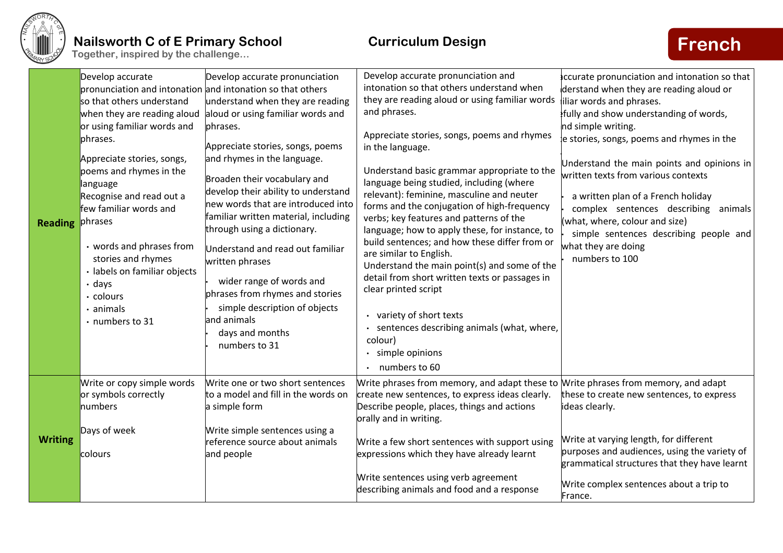

| <b>Reading</b> | Develop accurate<br>pronunciation and intonation and intonation so that others<br>so that others understand<br>when they are reading aloud<br>or using familiar words and<br>phrases.<br>Appreciate stories, songs,<br>poems and rhymes in the<br>language<br>Recognise and read out a<br>few familiar words and<br>phrases<br>• words and phrases from<br>stories and rhymes<br>· labels on familiar objects<br>$\cdot$ days<br>· colours<br>$\cdot$ animals<br>• numbers to 31 | Develop accurate pronunciation<br>understand when they are reading<br>aloud or using familiar words and<br>phrases.<br>Appreciate stories, songs, poems<br>and rhymes in the language.<br>Broaden their vocabulary and<br>develop their ability to understand<br>new words that are introduced into<br>familiar written material, including<br>through using a dictionary.<br>Understand and read out familiar<br>written phrases<br>wider range of words and<br>phrases from rhymes and stories<br>simple description of objects<br>and animals<br>days and months<br>numbers to 31 | Develop accurate pronunciation and<br>intonation so that others understand when<br>they are reading aloud or using familiar words<br>and phrases.<br>Appreciate stories, songs, poems and rhymes<br>in the language.<br>Understand basic grammar appropriate to the<br>language being studied, including (where<br>relevant): feminine, masculine and neuter<br>forms and the conjugation of high-frequency<br>verbs; key features and patterns of the<br>language; how to apply these, for instance, to<br>build sentences; and how these differ from or<br>are similar to English.<br>Understand the main point(s) and some of the<br>detail from short written texts or passages in<br>clear printed script<br>variety of short texts<br>sentences describing animals (what, where,<br>colour)<br>simple opinions<br>$\bullet$<br>numbers to 60 | ccurate pronunciation and intonation so that<br>derstand when they are reading aloud or<br>iliar words and phrases.<br>fully and show understanding of words,<br>nd simple writing.<br>le stories, songs, poems and rhymes in the<br>Understand the main points and opinions in<br>written texts from various contexts<br>a written plan of a French holiday<br>complex sentences describing<br>animals<br>what, where, colour and size)<br>simple sentences describing people and<br>what they are doing<br>numbers to 100 |
|----------------|----------------------------------------------------------------------------------------------------------------------------------------------------------------------------------------------------------------------------------------------------------------------------------------------------------------------------------------------------------------------------------------------------------------------------------------------------------------------------------|--------------------------------------------------------------------------------------------------------------------------------------------------------------------------------------------------------------------------------------------------------------------------------------------------------------------------------------------------------------------------------------------------------------------------------------------------------------------------------------------------------------------------------------------------------------------------------------|----------------------------------------------------------------------------------------------------------------------------------------------------------------------------------------------------------------------------------------------------------------------------------------------------------------------------------------------------------------------------------------------------------------------------------------------------------------------------------------------------------------------------------------------------------------------------------------------------------------------------------------------------------------------------------------------------------------------------------------------------------------------------------------------------------------------------------------------------|-----------------------------------------------------------------------------------------------------------------------------------------------------------------------------------------------------------------------------------------------------------------------------------------------------------------------------------------------------------------------------------------------------------------------------------------------------------------------------------------------------------------------------|
| <b>Writing</b> | Write or copy simple words<br>or symbols correctly<br>numbers<br>Days of week<br>colours                                                                                                                                                                                                                                                                                                                                                                                         | Write one or two short sentences<br>to a model and fill in the words on<br>a simple form<br>Write simple sentences using a<br>reference source about animals<br>and people                                                                                                                                                                                                                                                                                                                                                                                                           | Write phrases from memory, and adapt these to Write phrases from memory, and adapt<br>create new sentences, to express ideas clearly.<br>Describe people, places, things and actions<br>orally and in writing.<br>Write a few short sentences with support using<br>expressions which they have already learnt<br>Write sentences using verb agreement<br>describing animals and food and a response                                                                                                                                                                                                                                                                                                                                                                                                                                               | these to create new sentences, to express<br>ideas clearly.<br>Write at varying length, for different<br>purposes and audiences, using the variety of<br>grammatical structures that they have learnt<br>Write complex sentences about a trip to                                                                                                                                                                                                                                                                            |